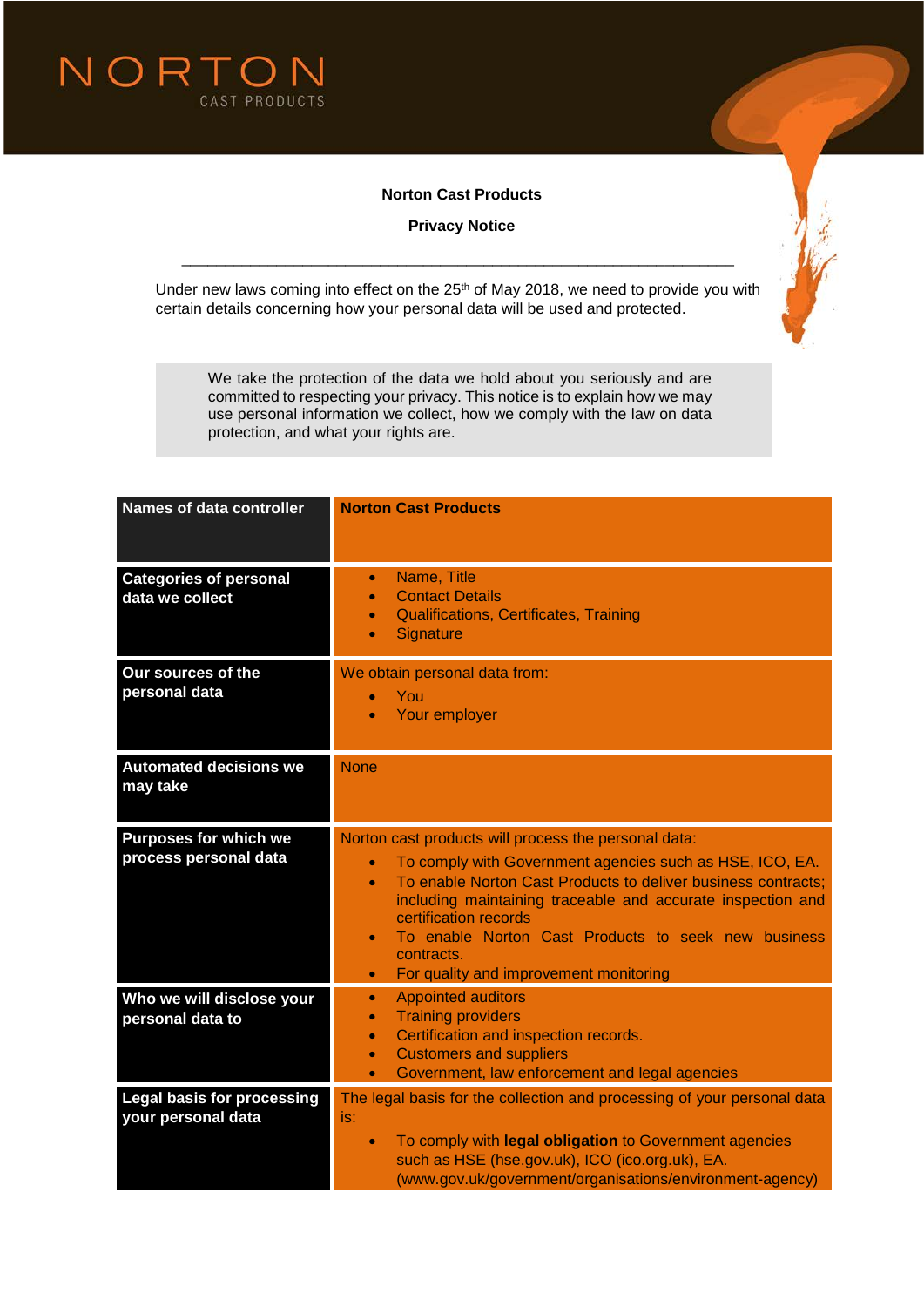

## **Norton Cast Products**

**Privacy Notice**



Under new laws coming into effect on the 25<sup>th</sup> of May 2018, we need to provide you with certain details concerning how your personal data will be used and protected.

\_\_\_\_\_\_\_\_\_\_\_\_\_\_\_\_\_\_\_\_\_\_\_\_\_\_\_\_\_\_\_\_\_\_\_\_\_\_\_\_\_\_\_\_\_\_\_\_\_\_\_\_\_\_\_\_\_\_\_\_\_\_\_\_

We take the protection of the data we hold about you seriously and are committed to respecting your privacy. This notice is to explain how we may use personal information we collect, how we comply with the law on data protection, and what your rights are.

| <b>Names of data controller</b>                         | <b>Norton Cast Products</b>                                                                                                                                                                                                                                                                                                                                                                                                                  |
|---------------------------------------------------------|----------------------------------------------------------------------------------------------------------------------------------------------------------------------------------------------------------------------------------------------------------------------------------------------------------------------------------------------------------------------------------------------------------------------------------------------|
| <b>Categories of personal</b><br>data we collect        | Name, Title<br>$\bullet$<br><b>Contact Details</b><br>Qualifications, Certificates, Training<br>Signature                                                                                                                                                                                                                                                                                                                                    |
| Our sources of the<br>personal data                     | We obtain personal data from:<br>You<br>Your employer                                                                                                                                                                                                                                                                                                                                                                                        |
| <b>Automated decisions we</b><br>may take               | <b>None</b>                                                                                                                                                                                                                                                                                                                                                                                                                                  |
| <b>Purposes for which we</b><br>process personal data   | Norton cast products will process the personal data:<br>To comply with Government agencies such as HSE, ICO, EA.<br>$\bullet$<br>To enable Norton Cast Products to deliver business contracts:<br>$\bullet$<br>including maintaining traceable and accurate inspection and<br>certification records<br>To enable Norton Cast Products to seek new business<br>$\bullet$<br>contracts.<br>For quality and improvement monitoring<br>$\bullet$ |
| Who we will disclose your<br>personal data to           | <b>Appointed auditors</b><br>$\bullet$<br><b>Training providers</b><br>$\bullet$<br>Certification and inspection records.<br>$\bullet$<br><b>Customers and suppliers</b><br>$\bullet$<br>Government, law enforcement and legal agencies<br>$\bullet$                                                                                                                                                                                         |
| <b>Legal basis for processing</b><br>your personal data | The legal basis for the collection and processing of your personal data<br>is:<br>To comply with legal obligation to Government agencies<br>$\bullet$<br>such as HSE (hse.gov.uk), ICO (ico.org.uk), EA.<br>(www.gov.uk/government/organisations/environment-agency)                                                                                                                                                                         |